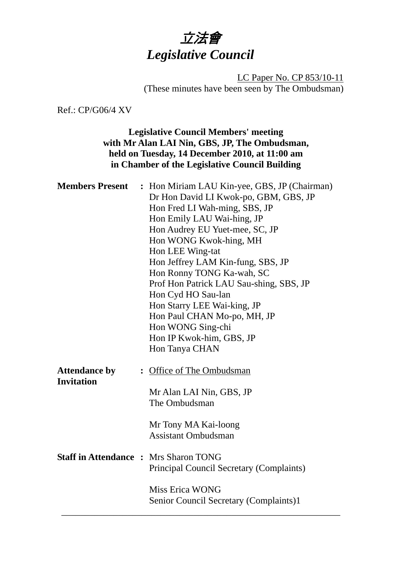

LC Paper No. CP 853/10-11 (These minutes have been seen by The Ombudsman)

Ref.: CP/G06/4 XV

## **Legislative Council Members' meeting with Mr Alan LAI Nin, GBS, JP, The Ombudsman, held on Tuesday, 14 December 2010, at 11:00 am in Chamber of the Legislative Council Building**

| <b>Members Present</b>                       | : Hon Miriam LAU Kin-yee, GBS, JP (Chairman)<br>Dr Hon David LI Kwok-po, GBM, GBS, JP<br>Hon Fred LI Wah-ming, SBS, JP |
|----------------------------------------------|------------------------------------------------------------------------------------------------------------------------|
|                                              | Hon Emily LAU Wai-hing, JP                                                                                             |
|                                              | Hon Audrey EU Yuet-mee, SC, JP                                                                                         |
|                                              | Hon WONG Kwok-hing, MH                                                                                                 |
|                                              | Hon LEE Wing-tat                                                                                                       |
|                                              | Hon Jeffrey LAM Kin-fung, SBS, JP                                                                                      |
|                                              | Hon Ronny TONG Ka-wah, SC                                                                                              |
|                                              | Prof Hon Patrick LAU Sau-shing, SBS, JP                                                                                |
|                                              | Hon Cyd HO Sau-lan                                                                                                     |
|                                              | Hon Starry LEE Wai-king, JP                                                                                            |
|                                              | Hon Paul CHAN Mo-po, MH, JP                                                                                            |
|                                              | Hon WONG Sing-chi                                                                                                      |
|                                              | Hon IP Kwok-him, GBS, JP                                                                                               |
|                                              | Hon Tanya CHAN                                                                                                         |
| <b>Attendance by</b><br><b>Invitation</b>    | : Office of The Ombudsman                                                                                              |
|                                              | Mr Alan LAI Nin, GBS, JP<br>The Ombudsman                                                                              |
|                                              | Mr Tony MA Kai-loong<br><b>Assistant Ombudsman</b>                                                                     |
| <b>Staff in Attendance : Mrs Sharon TONG</b> | <b>Principal Council Secretary (Complaints)</b>                                                                        |
|                                              | <b>Miss Erica WONG</b><br>Senior Council Secretary (Complaints)1                                                       |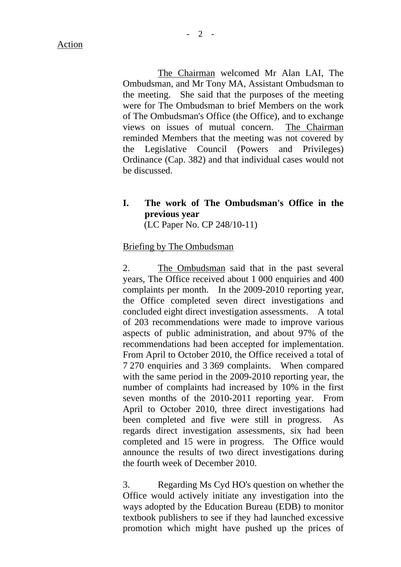The Chairman welcomed Mr Alan LAI, The Ombudsman, and Mr Tony MA, Assistant Ombudsman to the meeting. She said that the purposes of the meeting were for The Ombudsman to brief Members on the work of The Ombudsman's Office (the Office), and to exchange views on issues of mutual concern. The Chairman reminded Members that the meeting was not covered by the Legislative Council (Powers and Privileges) Ordinance (Cap. 382) and that individual cases would not be discussed.

# **I. The work of The Ombudsman's Office in the previous year**

(LC Paper No. CP 248/10-11)

#### Briefing by The Ombudsman

2. The Ombudsman said that in the past several years, The Office received about 1 000 enquiries and 400 complaints per month. In the 2009-2010 reporting year, the Office completed seven direct investigations and concluded eight direct investigation assessments. A total of 203 recommendations were made to improve various aspects of public administration, and about 97% of the recommendations had been accepted for implementation. From April to October 2010, the Office received a total of 7 270 enquiries and 3 369 complaints. When compared with the same period in the 2009-2010 reporting year, the number of complaints had increased by 10% in the first seven months of the 2010-2011 reporting year. From April to October 2010, three direct investigations had been completed and five were still in progress. As regards direct investigation assessments, six had been completed and 15 were in progress. The Office would announce the results of two direct investigations during the fourth week of December 2010.

3. Regarding Ms Cyd HO's question on whether the Office would actively initiate any investigation into the ways adopted by the Education Bureau (EDB) to monitor textbook publishers to see if they had launched excessive promotion which might have pushed up the prices of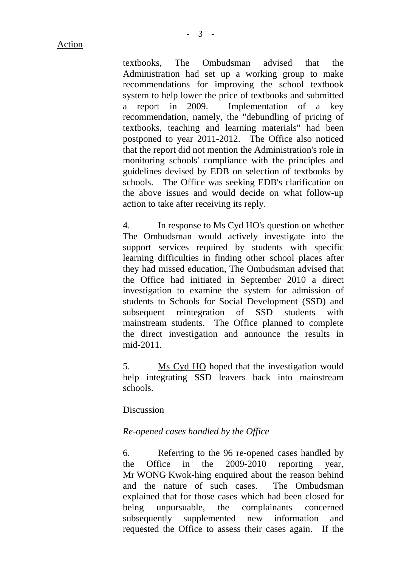textbooks, The Ombudsman advised that the Administration had set up a working group to make recommendations for improving the school textbook system to help lower the price of textbooks and submitted a report in 2009. Implementation of a key recommendation, namely, the "debundling of pricing of textbooks, teaching and learning materials" had been postponed to year 2011-2012. The Office also noticed that the report did not mention the Administration's role in monitoring schools' compliance with the principles and guidelines devised by EDB on selection of textbooks by schools. The Office was seeking EDB's clarification on the above issues and would decide on what follow-up action to take after receiving its reply.

4. In response to Ms Cyd HO's question on whether The Ombudsman would actively investigate into the support services required by students with specific learning difficulties in finding other school places after they had missed education, The Ombudsman advised that the Office had initiated in September 2010 a direct investigation to examine the system for admission of students to Schools for Social Development (SSD) and subsequent reintegration of SSD students with mainstream students. The Office planned to complete the direct investigation and announce the results in mid-2011.

5. Ms Cyd HO hoped that the investigation would help integrating SSD leavers back into mainstream schools.

### Discussion

### *Re-opened cases handled by the Office*

6. Referring to the 96 re-opened cases handled by the Office in the 2009-2010 reporting year, Mr WONG Kwok-hing enquired about the reason behind and the nature of such cases. The Ombudsman explained that for those cases which had been closed for being unpursuable, the complainants concerned subsequently supplemented new information and requested the Office to assess their cases again. If the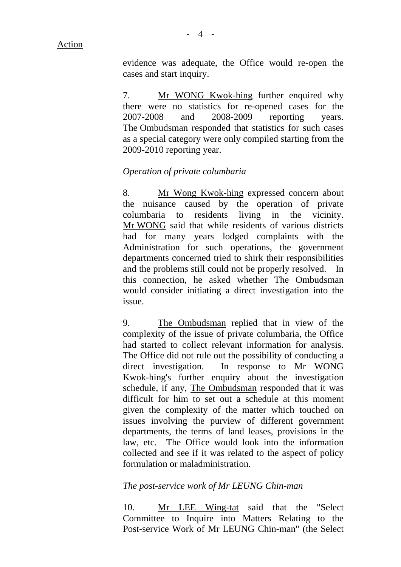evidence was adequate, the Office would re-open the cases and start inquiry.

7. Mr WONG Kwok-hing further enquired why there were no statistics for re-opened cases for the 2007-2008 and 2008-2009 reporting years. The Ombudsman responded that statistics for such cases as a special category were only compiled starting from the 2009-2010 reporting year.

## *Operation of private columbaria*

8. Mr Wong Kwok-hing expressed concern about the nuisance caused by the operation of private columbaria to residents living in the vicinity. Mr WONG said that while residents of various districts had for many years lodged complaints with the Administration for such operations, the government departments concerned tried to shirk their responsibilities and the problems still could not be properly resolved. In this connection, he asked whether The Ombudsman would consider initiating a direct investigation into the issue.

9. The Ombudsman replied that in view of the complexity of the issue of private columbaria, the Office had started to collect relevant information for analysis. The Office did not rule out the possibility of conducting a direct investigation. In response to Mr WONG Kwok-hing's further enquiry about the investigation schedule, if any, The Ombudsman responded that it was difficult for him to set out a schedule at this moment given the complexity of the matter which touched on issues involving the purview of different government departments, the terms of land leases, provisions in the law, etc. The Office would look into the information collected and see if it was related to the aspect of policy formulation or maladministration.

### *The post-service work of Mr LEUNG Chin-man*

10. Mr LEE Wing-tat said that the "Select Committee to Inquire into Matters Relating to the Post-service Work of Mr LEUNG Chin-man" (the Select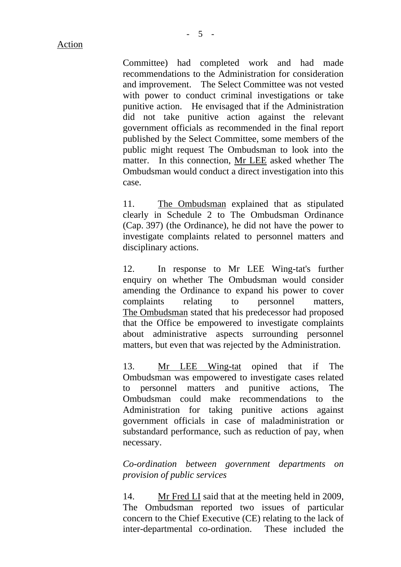Committee) had completed work and had made recommendations to the Administration for consideration and improvement. The Select Committee was not vested with power to conduct criminal investigations or take punitive action. He envisaged that if the Administration did not take punitive action against the relevant government officials as recommended in the final report published by the Select Committee, some members of the public might request The Ombudsman to look into the matter. In this connection, Mr LEE asked whether The Ombudsman would conduct a direct investigation into this case.

11. The Ombudsman explained that as stipulated clearly in Schedule 2 to The Ombudsman Ordinance (Cap. 397) (the Ordinance), he did not have the power to investigate complaints related to personnel matters and disciplinary actions.

12. In response to Mr LEE Wing-tat's further enquiry on whether The Ombudsman would consider amending the Ordinance to expand his power to cover complaints relating to personnel matters, The Ombudsman stated that his predecessor had proposed that the Office be empowered to investigate complaints about administrative aspects surrounding personnel matters, but even that was rejected by the Administration.

13. Mr LEE Wing-tat opined that if The Ombudsman was empowered to investigate cases related to personnel matters and punitive actions, The Ombudsman could make recommendations to the Administration for taking punitive actions against government officials in case of maladministration or substandard performance, such as reduction of pay, when necessary.

*Co-ordination between government departments on provision of public services* 

14. Mr Fred LI said that at the meeting held in 2009, The Ombudsman reported two issues of particular concern to the Chief Executive (CE) relating to the lack of inter-departmental co-ordination. These included the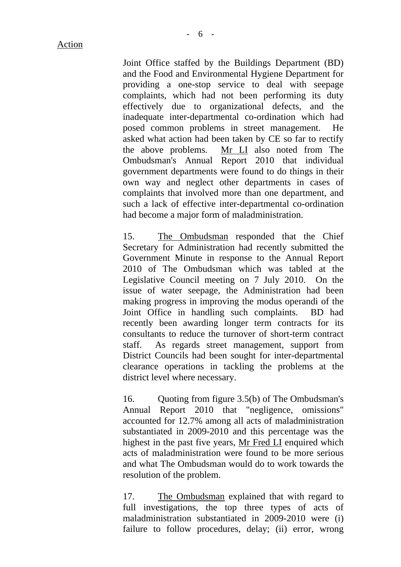Joint Office staffed by the Buildings Department (BD) and the Food and Environmental Hygiene Department for providing a one-stop service to deal with seepage complaints, which had not been performing its duty effectively due to organizational defects, and the inadequate inter-departmental co-ordination which had posed common problems in street management. He asked what action had been taken by CE so far to rectify the above problems. Mr LI also noted from The Ombudsman's Annual Report 2010 that individual government departments were found to do things in their own way and neglect other departments in cases of complaints that involved more than one department, and such a lack of effective inter-departmental co-ordination had become a major form of maladministration.

15. The Ombudsman responded that the Chief Secretary for Administration had recently submitted the Government Minute in response to the Annual Report 2010 of The Ombudsman which was tabled at the Legislative Council meeting on 7 July 2010. On the issue of water seepage, the Administration had been making progress in improving the modus operandi of the Joint Office in handling such complaints. BD had recently been awarding longer term contracts for its consultants to reduce the turnover of short-term contract staff. As regards street management, support from District Councils had been sought for inter-departmental clearance operations in tackling the problems at the district level where necessary.

16. Quoting from figure 3.5(b) of The Ombudsman's Annual Report 2010 that "negligence, omissions" accounted for 12.7% among all acts of maladministration substantiated in 2009-2010 and this percentage was the highest in the past five years, Mr Fred LI enquired which acts of maladministration were found to be more serious and what The Ombudsman would do to work towards the resolution of the problem.

17. The Ombudsman explained that with regard to full investigations, the top three types of acts of maladministration substantiated in 2009-2010 were (i) failure to follow procedures, delay; (ii) error, wrong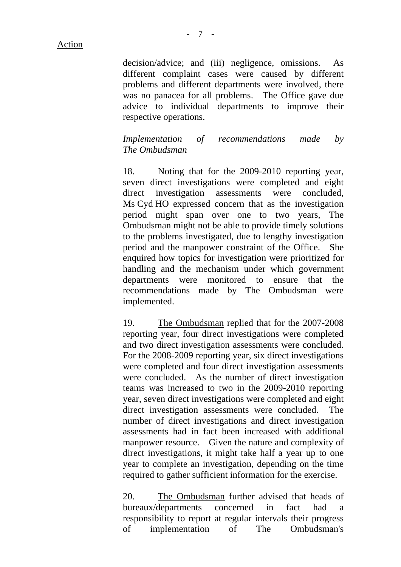decision/advice; and (iii) negligence, omissions. As different complaint cases were caused by different problems and different departments were involved, there was no panacea for all problems. The Office gave due advice to individual departments to improve their respective operations.

## *Implementation of recommendations made by The Ombudsman*

18. Noting that for the 2009-2010 reporting year, seven direct investigations were completed and eight direct investigation assessments were concluded, Ms Cyd HO expressed concern that as the investigation period might span over one to two years, The Ombudsman might not be able to provide timely solutions to the problems investigated, due to lengthy investigation period and the manpower constraint of the Office. She enquired how topics for investigation were prioritized for handling and the mechanism under which government departments were monitored to ensure that the recommendations made by The Ombudsman were implemented.

19. The Ombudsman replied that for the 2007-2008 reporting year, four direct investigations were completed and two direct investigation assessments were concluded. For the 2008-2009 reporting year, six direct investigations were completed and four direct investigation assessments were concluded. As the number of direct investigation teams was increased to two in the 2009-2010 reporting year, seven direct investigations were completed and eight direct investigation assessments were concluded. The number of direct investigations and direct investigation assessments had in fact been increased with additional manpower resource. Given the nature and complexity of direct investigations, it might take half a year up to one year to complete an investigation, depending on the time required to gather sufficient information for the exercise.

20. The Ombudsman further advised that heads of bureaux/departments concerned in fact had a responsibility to report at regular intervals their progress of implementation of The Ombudsman's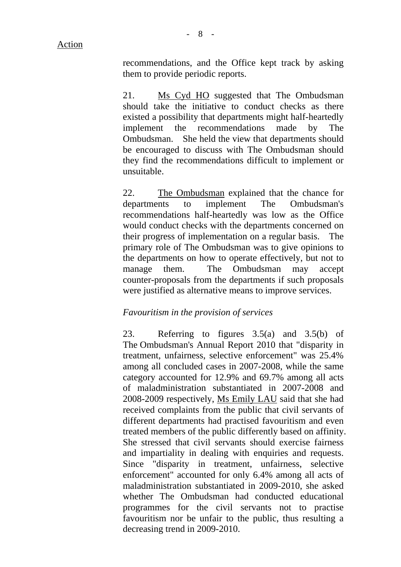21. Ms Cyd HO suggested that The Ombudsman should take the initiative to conduct checks as there existed a possibility that departments might half-heartedly implement the recommendations made by The Ombudsman. She held the view that departments should be encouraged to discuss with The Ombudsman should they find the recommendations difficult to implement or unsuitable.

22. The Ombudsman explained that the chance for departments to implement The Ombudsman's recommendations half-heartedly was low as the Office would conduct checks with the departments concerned on their progress of implementation on a regular basis. The primary role of The Ombudsman was to give opinions to the departments on how to operate effectively, but not to manage them. The Ombudsman may accept counter-proposals from the departments if such proposals were justified as alternative means to improve services.

#### *Favouritism in the provision of services*

23. Referring to figures 3.5(a) and 3.5(b) of The Ombudsman's Annual Report 2010 that "disparity in treatment, unfairness, selective enforcement" was 25.4% among all concluded cases in 2007-2008, while the same category accounted for 12.9% and 69.7% among all acts of maladministration substantiated in 2007-2008 and 2008-2009 respectively, Ms Emily LAU said that she had received complaints from the public that civil servants of different departments had practised favouritism and even treated members of the public differently based on affinity. She stressed that civil servants should exercise fairness and impartiality in dealing with enquiries and requests. Since "disparity in treatment, unfairness, selective enforcement" accounted for only 6.4% among all acts of maladministration substantiated in 2009-2010, she asked whether The Ombudsman had conducted educational programmes for the civil servants not to practise favouritism nor be unfair to the public, thus resulting a decreasing trend in 2009-2010.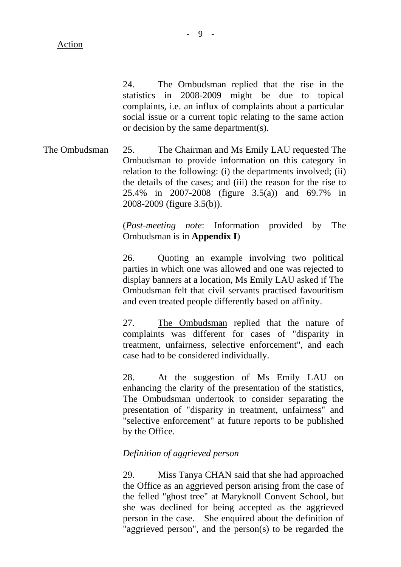24. The Ombudsman replied that the rise in the statistics in 2008-2009 might be due to topical complaints, i.e. an influx of complaints about a particular social issue or a current topic relating to the same action or decision by the same department(s).

The Ombudsman 25. The Chairman and Ms Emily LAU requested The Ombudsman to provide information on this category in relation to the following: (i) the departments involved; (ii) the details of the cases; and (iii) the reason for the rise to 25.4% in 2007-2008 (figure 3.5(a)) and 69.7% in 2008-2009 (figure 3.5(b)).

> (*Post-meeting note*: Information provided by The Ombudsman is in **Appendix I**)

> 26. Quoting an example involving two political parties in which one was allowed and one was rejected to display banners at a location, Ms Emily LAU asked if The Ombudsman felt that civil servants practised favouritism and even treated people differently based on affinity.

> 27. The Ombudsman replied that the nature of complaints was different for cases of "disparity in treatment, unfairness, selective enforcement", and each case had to be considered individually.

> 28. At the suggestion of Ms Emily LAU on enhancing the clarity of the presentation of the statistics, The Ombudsman undertook to consider separating the presentation of "disparity in treatment, unfairness" and "selective enforcement" at future reports to be published by the Office.

### *Definition of aggrieved person*

29. Miss Tanya CHAN said that she had approached the Office as an aggrieved person arising from the case of the felled "ghost tree" at Maryknoll Convent School, but she was declined for being accepted as the aggrieved person in the case. She enquired about the definition of "aggrieved person", and the person(s) to be regarded the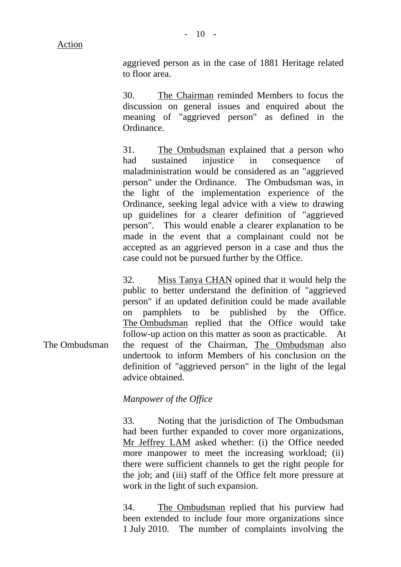Action

30. The Chairman reminded Members to focus the discussion on general issues and enquired about the meaning of "aggrieved person" as defined in the Ordinance.

31. The Ombudsman explained that a person who had sustained injustice in consequence maladministration would be considered as an "aggrieved person" under the Ordinance. The Ombudsman was, in the light of the implementation experience of the Ordinance, seeking legal advice with a view to drawing up guidelines for a clearer definition of "aggrieved person". This would enable a clearer explanation to be made in the event that a complainant could not be accepted as an aggrieved person in a case and thus the case could not be pursued further by the Office.

The Ombudsman 32. Miss Tanya CHAN opined that it would help the public to better understand the definition of "aggrieved person" if an updated definition could be made available on pamphlets to be published by the Office. The Ombudsman replied that the Office would take follow-up action on this matter as soon as practicable. At the request of the Chairman, The Ombudsman also undertook to inform Members of his conclusion on the definition of "aggrieved person" in the light of the legal advice obtained.

*Manpower of the Office* 

33. Noting that the jurisdiction of The Ombudsman had been further expanded to cover more organizations, Mr Jeffrey LAM asked whether: (i) the Office needed more manpower to meet the increasing workload; (ii) there were sufficient channels to get the right people for the job; and (iii) staff of the Office felt more pressure at work in the light of such expansion.

34. The Ombudsman replied that his purview had been extended to include four more organizations since 1 July 2010. The number of complaints involving the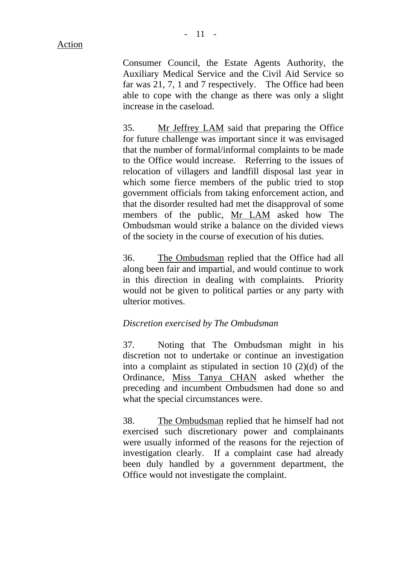35. Mr Jeffrey LAM said that preparing the Office for future challenge was important since it was envisaged that the number of formal/informal complaints to be made to the Office would increase. Referring to the issues of relocation of villagers and landfill disposal last year in which some fierce members of the public tried to stop government officials from taking enforcement action, and that the disorder resulted had met the disapproval of some members of the public, Mr LAM asked how The Ombudsman would strike a balance on the divided views of the society in the course of execution of his duties.

36. The Ombudsman replied that the Office had all along been fair and impartial, and would continue to work in this direction in dealing with complaints. Priority would not be given to political parties or any party with ulterior motives.

## *Discretion exercised by The Ombudsman*

37. Noting that The Ombudsman might in his discretion not to undertake or continue an investigation into a complaint as stipulated in section 10 (2)(d) of the Ordinance, Miss Tanya CHAN asked whether the preceding and incumbent Ombudsmen had done so and what the special circumstances were.

38. The Ombudsman replied that he himself had not exercised such discretionary power and complainants were usually informed of the reasons for the rejection of investigation clearly. If a complaint case had already been duly handled by a government department, the Office would not investigate the complaint.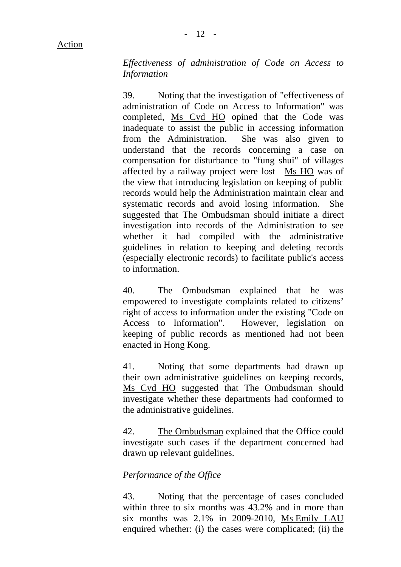39. Noting that the investigation of "effectiveness of administration of Code on Access to Information" was completed, Ms Cyd HO opined that the Code was inadequate to assist the public in accessing information from the Administration. She was also given to understand that the records concerning a case on compensation for disturbance to "fung shui" of villages affected by a railway project were lost Ms HO was of the view that introducing legislation on keeping of public records would help the Administration maintain clear and systematic records and avoid losing information. She suggested that The Ombudsman should initiate a direct investigation into records of the Administration to see whether it had compiled with the administrative guidelines in relation to keeping and deleting records (especially electronic records) to facilitate public's access to information.

40. The Ombudsman explained that he was empowered to investigate complaints related to citizens' right of access to information under the existing "Code on Access to Information". However, legislation on keeping of public records as mentioned had not been enacted in Hong Kong.

41. Noting that some departments had drawn up their own administrative guidelines on keeping records, Ms Cyd HO suggested that The Ombudsman should investigate whether these departments had conformed to the administrative guidelines.

42. The Ombudsman explained that the Office could investigate such cases if the department concerned had drawn up relevant guidelines.

### *Performance of the Office*

43. Noting that the percentage of cases concluded within three to six months was 43.2% and in more than six months was 2.1% in 2009-2010, Ms Emily LAU enquired whether: (i) the cases were complicated; (ii) the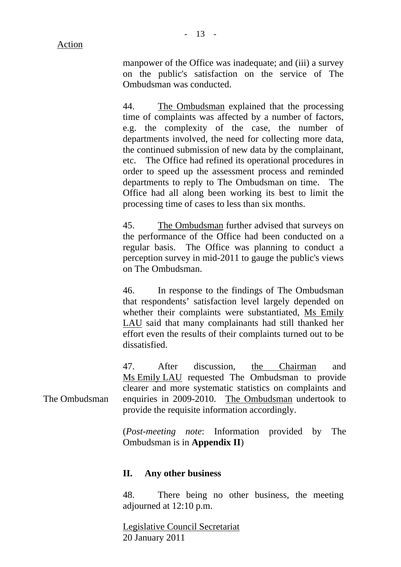manpower of the Office was inadequate; and (iii) a survey on the public's satisfaction on the service of The Ombudsman was conducted.

44. The Ombudsman explained that the processing time of complaints was affected by a number of factors, e.g. the complexity of the case, the number of departments involved, the need for collecting more data, the continued submission of new data by the complainant, etc. The Office had refined its operational procedures in order to speed up the assessment process and reminded departments to reply to The Ombudsman on time. The Office had all along been working its best to limit the processing time of cases to less than six months.

45. The Ombudsman further advised that surveys on the performance of the Office had been conducted on a regular basis. The Office was planning to conduct a perception survey in mid-2011 to gauge the public's views on The Ombudsman.

46. In response to the findings of The Ombudsman that respondents' satisfaction level largely depended on whether their complaints were substantiated, Ms Emily LAU said that many complainants had still thanked her effort even the results of their complaints turned out to be dissatisfied.

The Ombudsman 47. After discussion, the Chairman and Ms Emily LAU requested The Ombudsman to provide clearer and more systematic statistics on complaints and enquiries in 2009-2010. The Ombudsman undertook to provide the requisite information accordingly.

> (*Post-meeting note*: Information provided by The Ombudsman is in **Appendix II**)

### **II. Any other business**

48. There being no other business, the meeting adjourned at 12:10 p.m.

Legislative Council Secretariat 20 January 2011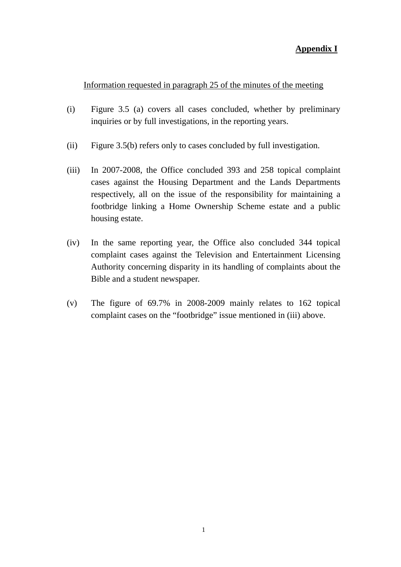#### **Appendix I**

#### Information requested in paragraph 25 of the minutes of the meeting

- (i) Figure 3.5 (a) covers all cases concluded, whether by preliminary inquiries or by full investigations, in the reporting years.
- (ii) Figure 3.5(b) refers only to cases concluded by full investigation.
- (iii) In 2007-2008, the Office concluded 393 and 258 topical complaint cases against the Housing Department and the Lands Departments respectively, all on the issue of the responsibility for maintaining a footbridge linking a Home Ownership Scheme estate and a public housing estate.
- (iv) In the same reporting year, the Office also concluded 344 topical complaint cases against the Television and Entertainment Licensing Authority concerning disparity in its handling of complaints about the Bible and a student newspaper.
- (v) The figure of 69.7% in 2008-2009 mainly relates to 162 topical complaint cases on the "footbridge" issue mentioned in (iii) above.